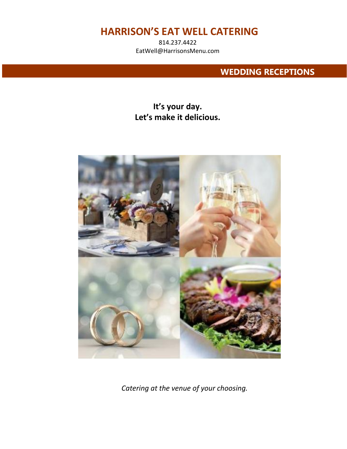814.237.4422 EatWell@HarrisonsMenu.com

## **WEDDING RECEPTIONS**

# **It's your day. Let's make it delicious.**



*Catering at the venue of your choosing.*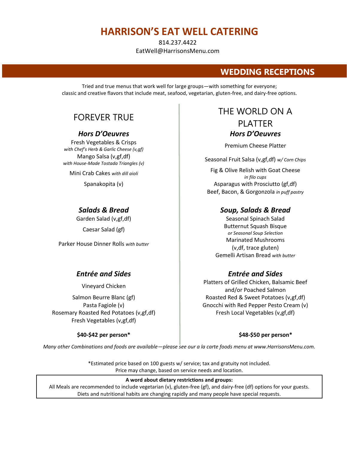814.237.4422 EatWell@HarrisonsMenu.com

## **WEDDING RECEPTIONS**

Tried and true menus that work well for large groups—with something for everyone; classic and creative flavors that include meat, seafood, vegetarian, gluten-free, and dairy-free options.

Fresh Vegetables & Crisps *with Chef's Herb & Garlic Cheese (v,gf)* Premium Cheese Platter with Chef's Herb & Garlic Cheese (v,gf) Mango Salsa (v,gf,df) *with House-Made Tostada Triangles (v)* Seasonal Fruit Salsa (v,gf,df) *w/ Corn Chips*

Parker House Dinner Rolls *with butter*

### *Entrée and Sides Entrée and Sides*

Rosemary Roasted Red Potatoes (v,gf,df) Fresh Local Vegetables (v,gf,df) Fresh Vegetables (v,gf,df)

## FOREVER TRUE FOREVER TRUE PLATTER *Hors D'Oeuvres Hors D'Oeuvres*

Mini Crab Cakes *with dill aioli* Fig & Olive Relish with Goat Cheese *in filo cups* Spanakopita (v) and a set of the control of the Asparagus with Prosciutto (gf,df) Beef, Bacon, & Gorgonzola *in puff pastry*

### *Salads & Bread Soup, Salads & Bread*

Garden Salad (v,gf,df) Seasonal Spinach Salad Caesar Salad (gf) **Butternut Squash Bisque** *or Seasonal Soup Selection* Marinated Mushrooms (v,df, trace gluten) Gemelli Artisan Bread *with butter*

Vineyard Chicken Platters of Grilled Chicken, Balsamic Beef and/or Poached Salmon Salmon Beurre Blanc (gf) **Roasted Red & Sweet Potatoes (v,gf,df)** Roasted Red & Sweet Potatoes (v,gf,df) Pasta Fagiole (v) Gnocchi with Red Pepper Pesto Cream (v)

#### **\$40-\$42 per person\* \$48-\$50 per person\***

*Many other Combinations and foods are available—please see our a la carte foods menu at www.HarrisonsMenu.com.*

\*Estimated price based on 100 guests w/ service; tax and gratuity not included. Price may change, based on service needs and location.

#### **A word about dietary restrictions and groups:**

All Meals are recommended to include vegetarian (v), gluten-free (gf), and dairy-free (df) options for your guests. Diets and nutritional habits are changing rapidly and many people have special requests.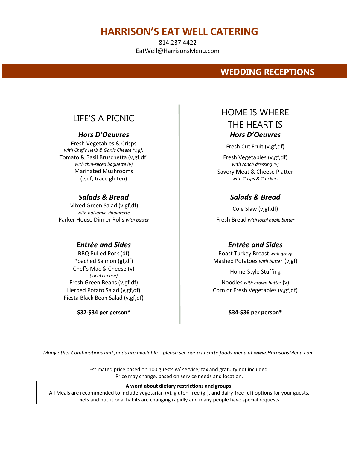814.237.4422 EatWell@HarrisonsMenu.com

## **WEDDING RECEPTIONS**

Fresh Vegetables & Crisps *with Chef's Herb & Garlic Cheese (v,gf)*<br>Fresh Cut Fruit (v,gf,df) Tomato & Basil Bruschetta (v,gf,df) *with thin-sliced baguette (v)* Marinated Mushrooms (v,df, trace gluten)

## *Salads & Bread Salads & Bread*

Mixed Green Salad (v,gf,df) *with balsamic vinaigrette* Parker House Dinner Rolls *with butter* **Figure 1** Fresh Bread *with local apple butter* 

### *Entrée and Sides Entrée and Sides*

Chef's Mac & Cheese (v) *(local cheese)*<br>*(local cheese)* Home-Style Stuffing Fiesta Black Bean Salad (v,gf,df)

**\$32-\$34 per person\* \$34-\$36 per person\***

# LIFE'S A PICNIC **HOME IS WHERE** THE HEART IS *Hors D'Oeuvres Hors D'Oeuvres*

Fresh Vegetables (v,gf,df) *with ranch dressing (v)* Savory Meat & Cheese Platter *with Crisps & Crackers*

Cole Slaw (v,gf,df)

BBQ Pulled Pork (df) **Roast Turkey Breast** *with gravy* Roast Turkey Breast *with gravy* Poached Salmon (gf,df) **Mashed Potatoes** *with butter* (v,gf)

Fresh Green Beans (v,gf,df) Noodles *with brown butter* (v) Herbed Potato Salad (v,gf,df) The Corn or Fresh Vegetables (v,gf,df)

*Many other Combinations and foods are available—please see our a la carte foods menu at www.HarrisonsMenu.com.*

Estimated price based on 100 guests w/ service; tax and gratuity not included. Price may change, based on service needs and location.

#### **A word about dietary restrictions and groups:**

All Meals are recommended to include vegetarian (v), gluten-free (gf), and dairy-free (df) options for your guests. Diets and nutritional habits are changing rapidly and many people have special requests.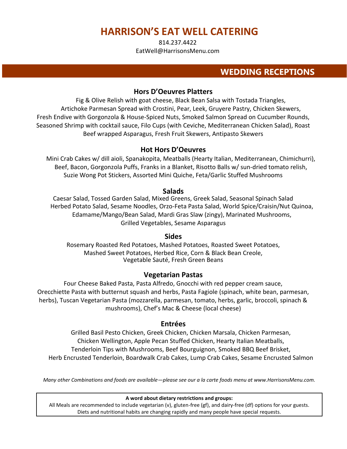814.237.4422 EatWell@HarrisonsMenu.com

## **WEDDING RECEPTIONS**

### **Hors D'Oeuvres Platters**

Fig & Olive Relish with goat cheese, Black Bean Salsa with Tostada Triangles, Artichoke Parmesan Spread with Crostini, Pear, Leek, Gruyere Pastry, Chicken Skewers, Fresh Endive with Gorgonzola & House-Spiced Nuts, Smoked Salmon Spread on Cucumber Rounds, Seasoned Shrimp with cocktail sauce, Filo Cups (with Ceviche, Mediterranean Chicken Salad), Roast Beef wrapped Asparagus, Fresh Fruit Skewers, Antipasto Skewers

### **Hot Hors D'Oeuvres**

Mini Crab Cakes w/ dill aioli, Spanakopita, Meatballs (Hearty Italian, Mediterranean, Chimichurri), Beef, Bacon, Gorgonzola Puffs, Franks in a Blanket, Risotto Balls w/ sun-dried tomato relish, Suzie Wong Pot Stickers, Assorted Mini Quiche, Feta/Garlic Stuffed Mushrooms

### **Salads**

Caesar Salad, Tossed Garden Salad, Mixed Greens, Greek Salad, Seasonal Spinach Salad Herbed Potato Salad, Sesame Noodles, Orzo-Feta Pasta Salad, World Spice/Craisin/Nut Quinoa, Edamame/Mango/Bean Salad, Mardi Gras Slaw (zingy), Marinated Mushrooms, Grilled Vegetables, Sesame Asparagus

### **Sides**

Rosemary Roasted Red Potatoes, Mashed Potatoes, Roasted Sweet Potatoes, Mashed Sweet Potatoes, Herbed Rice, Corn & Black Bean Creole, Vegetable Sauté, Fresh Green Beans

### **Vegetarian Pastas**

Four Cheese Baked Pasta, Pasta Alfredo, Gnocchi with red pepper cream sauce, Orecchiette Pasta with butternut squash and herbs, Pasta Fagiole (spinach, white bean, parmesan, herbs), Tuscan Vegetarian Pasta (mozzarella, parmesan, tomato, herbs, garlic, broccoli, spinach & mushrooms), Chef's Mac & Cheese (local cheese)

### **Entrées**

Grilled Basil Pesto Chicken, Greek Chicken, Chicken Marsala, Chicken Parmesan, Chicken Wellington, Apple Pecan Stuffed Chicken, Hearty Italian Meatballs, Tenderloin Tips with Mushrooms, Beef Bourguignon, Smoked BBQ Beef Brisket, Herb Encrusted Tenderloin, Boardwalk Crab Cakes, Lump Crab Cakes, Sesame Encrusted Salmon

*Many other Combinations and foods are available—please see our a la carte foods menu at www.HarrisonsMenu.com.*

#### **A word about dietary restrictions and groups:**

All Meals are recommended to include vegetarian (v), gluten-free (gf), and dairy-free (df) options for your guests. Diets and nutritional habits are changing rapidly and many people have special requests.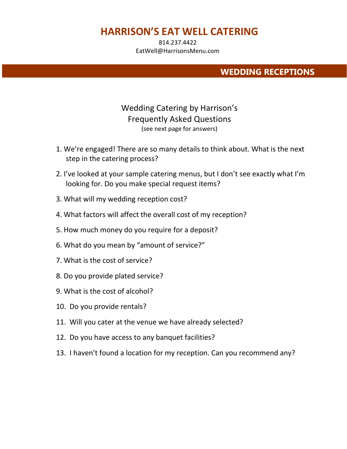814.237.4422 EatWell@HarrisonsMenu.com

## **WEDDING RECEPTIONS**

## Wedding Catering by Harrison's Frequently Asked Questions (see next page for answers)

- 1. We're engaged! There are so many details to think about. What is the next step in the catering process?
- 2. I've looked at your sample catering menus, but I don't see exactly what I'm looking for. Do you make special request items?
- 3. What will my wedding reception cost?
- 4. What factors will affect the overall cost of my reception?
- 5. How much money do you require for a deposit?
- 6. What do you mean by "amount of service?"
- 7. What is the cost of service?
- 8. Do you provide plated service?
- 9. What is the cost of alcohol?
- 10. Do you provide rentals?
- 11. Will you cater at the venue we have already selected?
- 12. Do you have access to any banquet facilities?
- 13. I haven't found a location for my reception. Can you recommend any?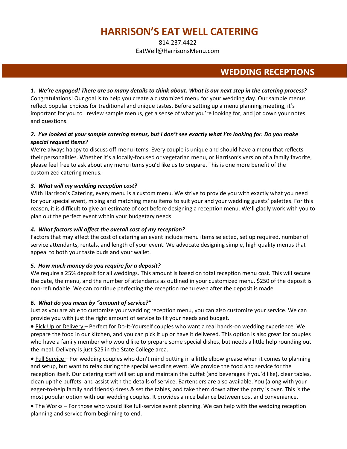814.237.4422 EatWell@HarrisonsMenu.com

## **WEDDING RECEPTIONS**

*1. We're engaged! There are so many details to think about. What is our next step in the catering process?*  Congratulations! Our goal is to help you create a customized menu for your wedding day. Our sample menus reflect popular choices for traditional and unique tastes. Before setting up a menu planning meeting, it's important for you to review sample menus, get a sense of what you're looking for, and jot down your notes and questions.

#### *2. I've looked at your sample catering menus, but I don't see exactly what I'm looking for. Do you make special request items?*

We're always happy to discuss off-menu items. Every couple is unique and should have a menu that reflects their personalities. Whether it's a locally-focused or vegetarian menu, or Harrison's version of a family favorite, please feel free to ask about any menu items you'd like us to prepare. This is one more benefit of the customized catering menus.

#### *3. What will my wedding reception cost?*

With Harrison's Catering, every menu is a custom menu. We strive to provide you with exactly what you need for your special event, mixing and matching menu items to suit your and your wedding guests' palettes. For this reason, it is difficult to give an estimate of cost before designing a reception menu. We'll gladly work with you to plan out the perfect event within your budgetary needs.

#### *4. What factors will affect the overall cost of my reception?*

Factors that may affect the cost of catering an event include menu items selected, set up required, number of service attendants, rentals, and length of your event. We advocate designing simple, high quality menus that appeal to both your taste buds and your wallet.

#### *5. How much money do you require for a deposit?*

We require a 25% deposit for all weddings. This amount is based on total reception menu cost. This will secure the date, the menu, and the number of attendants as outlined in your customized menu. \$250 of the deposit is non-refundable. We can continue perfecting the reception menu even after the deposit is made.

#### *6. What do you mean by "amount of service?"*

Just as you are able to customize your wedding reception menu, you can also customize your service. We can provide you with just the right amount of service to fit your needs and budget.

• Pick Up or Delivery – Perfect for Do-It-Yourself couples who want a real hands-on wedding experience. We prepare the food in our kitchen, and you can pick it up or have it delivered. This option is also great for couples who have a family member who would like to prepare some special dishes, but needs a little help rounding out the meal. Delivery is just \$25 in the State College area.

• Full Service – For wedding couples who don't mind putting in a little elbow grease when it comes to planning and setup, but want to relax during the special wedding event. We provide the food and service for the reception itself. Our catering staff will set up and maintain the buffet (and beverages if you'd like), clear tables, clean up the buffets, and assist with the details of service. Bartenders are also available. You (along with your eager-to-help family and friends) dress & set the tables, and take them down after the party is over. This is the most popular option with our wedding couples. It provides a nice balance between cost and convenience.

• The Works – For those who would like full-service event planning. We can help with the wedding reception planning and service from beginning to end.